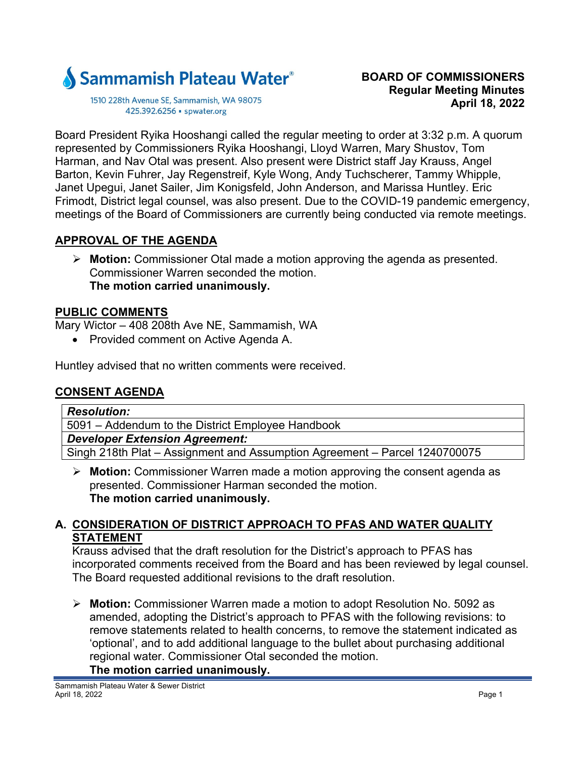

1510 228th Avenue SE, Sammamish, WA 98075 425.392.6256 · spwater.org

Board President Ryika Hooshangi called the regular meeting to order at 3:32 p.m. A quorum represented by Commissioners Ryika Hooshangi, Lloyd Warren, Mary Shustov, Tom Harman, and Nav Otal was present. Also present were District staff Jay Krauss, Angel Barton, Kevin Fuhrer, Jay Regenstreif, Kyle Wong, Andy Tuchscherer, Tammy Whipple, Janet Upegui, Janet Sailer, Jim Konigsfeld, John Anderson, and Marissa Huntley. Eric Frimodt, District legal counsel, was also present. Due to the COVID-19 pandemic emergency, meetings of the Board of Commissioners are currently being conducted via remote meetings.

# **APPROVAL OF THE AGENDA**

 **Motion:** Commissioner Otal made a motion approving the agenda as presented. Commissioner Warren seconded the motion. **The motion carried unanimously.** 

#### **PUBLIC COMMENTS**

Mary Wictor – 408 208th Ave NE, Sammamish, WA

• Provided comment on Active Agenda A.

Huntley advised that no written comments were received.

# **CONSENT AGENDA**

#### *Resolution:*

5091 – Addendum to the District Employee Handbook

*Developer Extension Agreement:* 

Singh 218th Plat – Assignment and Assumption Agreement – Parcel 1240700075

 **Motion:** Commissioner Warren made a motion approving the consent agenda as presented. Commissioner Harman seconded the motion. **The motion carried unanimously.** 

#### **A. CONSIDERATION OF DISTRICT APPROACH TO PFAS AND WATER QUALITY STATEMENT**

Krauss advised that the draft resolution for the District's approach to PFAS has incorporated comments received from the Board and has been reviewed by legal counsel. The Board requested additional revisions to the draft resolution.

 **Motion:** Commissioner Warren made a motion to adopt Resolution No. 5092 as amended, adopting the District's approach to PFAS with the following revisions: to remove statements related to health concerns, to remove the statement indicated as 'optional', and to add additional language to the bullet about purchasing additional regional water. Commissioner Otal seconded the motion.

# **The motion carried unanimously.**